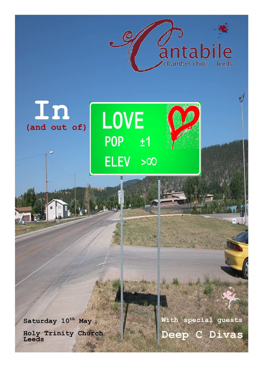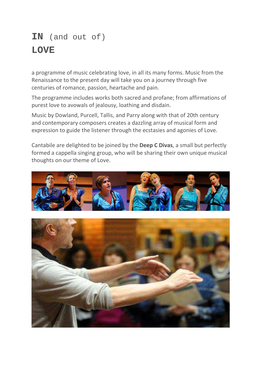# **IN** (and out of) **LOVE**

a programme of music celebrating love, in all its many forms. Music from the Renaissance to the present day will take you on a journey through five centuries of romance, passion, heartache and pain.

The programme includes works both sacred and profane; from affirmations of purest love to avowals of jealousy, loathing and disdain.

Music by Dowland, Purcell, Tallis, and Parry along with that of 20th century and contemporary composers creates a dazzling array of musical form and expression to guide the listener through the ecstasies and agonies of Love.

Cantabile are delighted to be joined by the **Deep C Divas**, a small but perfectly formed a cappella singing group, who will be sharing their own unique musical thoughts on our theme of Love.



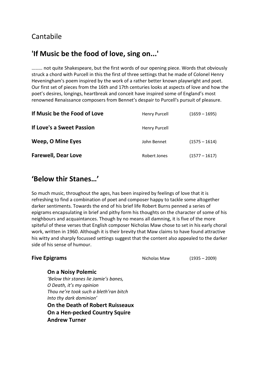## Cantabile

# **'If Music be the food of love, sing on...'**

……… not quite Shakespeare, but the first words of our opening piece. Words that obviously struck a chord with Purcell in this the first of three settings that he made of Colonel Henry Heveningham's poem inspired by the work of a rather better known playwright and poet. Our first set of pieces from the 16th and 17th centuries looks at aspects of love and how the poet's desires, longings, heartbreak and conceit have inspired some of England's most renowned Renaissance composers from Bennet's despair to Purcell's pursuit of pleasure.

| If Music be the Food of Love | <b>Henry Purcell</b> | $(1659 - 1695)$ |
|------------------------------|----------------------|-----------------|
| If Love's a Sweet Passion    | Henry Purcell        |                 |
| <b>Weep, O Mine Eyes</b>     | John Bennet          | $(1575 - 1614)$ |
| <b>Farewell, Dear Love</b>   | Robert Jones         | $(1577 - 1617)$ |

### **'Below thir Stanes…'**

So much music, throughout the ages, has been inspired by feelings of love that it is refreshing to find a combination of poet and composer happy to tackle some altogether darker sentiments. Towards the end of his brief life Robert Burns penned a series of epigrams encapsulating in brief and pithy form his thoughts on the character of some of his neighbours and acquaintances. Though by no means all damning, it is five of the more spiteful of these verses that English composer Nicholas Maw chose to set in his early choral work, written in 1960. Although it is their brevity that Maw claims to have found attractive his witty and sharply focussed settings suggest that the content also appealed to the darker side of his sense of humour.

| <b>Five Epigrams</b>      | Nicholas Maw | $(1935 - 2009)$ |
|---------------------------|--------------|-----------------|
| <b>On a Noisy Polemic</b> |              |                 |

*'Below thir stanes lie Jamie's banes, O Death, it's my opinion Thou ne're took such a bleth'ran bitch Into thy dark dominion'*  **On the Death of Robert Ruisseaux On a Hen-pecked Country Squire Andrew Turner**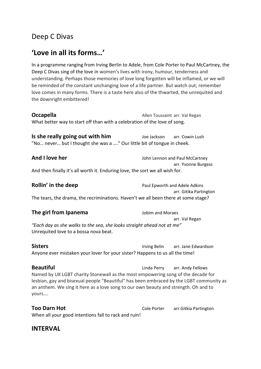### Deep C Divas

# **'Love in all its forms…'**

In a programme ranging from Irving Berlin to Adele, from Cole Porter to Paul McCartney, the Deep C Divas sing of the love in women's lives with irony, humour, tenderness and understanding. Perhaps those memories of love long forgotten will be inflamed, or we will be reminded of the constant unchanging love of a life partner. But watch out; remember love comes in many forms. There is a taste here also of the thwarted, the unrequited and the downright embittered!

**Occapella Allen Toussaint arr. Val Regan** What better way to start off than with a celebration of the love of song.

**Is she really going out with him** Joe Jackson arr. Cowin Lush "No… never… but I thought she was a …." Our little bit of tongue in cheek.

**And I love her And I love her** John Lennon and Paul McCartney arr. Yvonne Burgess And then finally it's all worth it. Enduring love, the sort we all wish for.

**Rollin' in the deep Paul Epworth and Adele Adkins**  arr. Gitika Partington The tears, the drama, the recriminations. Haven't we all been there at some stage?

**The girl from Ipanema** Jobim and Moraes arr. Val Regan *"Each day as she walks to the sea, she looks straight ahead not at me"* Unrequited love to a bossa nova beat.

**Sisters Irving Belin** arr. Jane Edwardson Anyone ever mistaken your lover for your sister? Happens to us all the time!

**Beautiful Beautiful Beautiful Beautiful Exercise Exercise Exercise Exercise Exercise Exercise Exercise Exercise Exercise Exercise Exercise Exercise Exercise Exercise Exercise Exercise Exercise Exercise Exercise Ex** Named by UK LGBT charity Stonewall as the most empowering song of the decade for lesbian, gay and bisexual people "Beautiful" has been embraced by the LGBT community as an anthem. We sing it here as a love song to our own beauty and strength. Oh and to yours….

**Too Darn Hot** Cole Porter arr.Gitkia Partington When all your good intentions fall to rack and ruin!

#### **INTERVAL**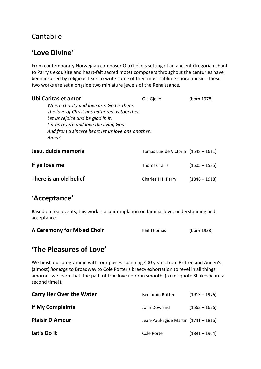# Cantabile

# **'Love Divine'**

From contemporary Norwegian composer Ola Gjeilo's setting of an ancient Gregorian chant to Parry's exquisite and heart-felt sacred motet composers throughout the centuries have been inspired by religious texts to write some of their most sublime choral music. These two works are set alongside two miniature jewels of the Renaissance.

| Ubi Caritas et amor<br>Where charity and love are, God is there.<br>The love of Christ has gathered us together.<br>Let us rejoice and be glad in it.<br>Let us revere and love the living God.<br>And from a sincere heart let us love one another.<br>Amen' | Ola Gjeilo                             | (born 1978)     |
|---------------------------------------------------------------------------------------------------------------------------------------------------------------------------------------------------------------------------------------------------------------|----------------------------------------|-----------------|
| Jesu, dulcis memoria                                                                                                                                                                                                                                          | Tomas Luis de Victoria $(1548 - 1611)$ |                 |
| If ye love me                                                                                                                                                                                                                                                 | <b>Thomas Tallis</b>                   | $(1505 - 1585)$ |
| There is an old belief                                                                                                                                                                                                                                        | Charles H H Parry                      | $(1848 - 1918)$ |

### **'Acceptance'**

Based on real events, this work is a contemplation on familial love, understanding and acceptance.

| <b>A Ceremony for Mixed Choir</b> | <b>Phil Thomas</b> | (born 1953) |
|-----------------------------------|--------------------|-------------|
|-----------------------------------|--------------------|-------------|

### **'The Pleasures of Love'**

We finish our programme with four pieces spanning 400 years; from Britten and Auden's (almost) *homage* to Broadway to Cole Porter's breezy exhortation to revel in all things amorous we learn that 'the path of true love ne'r ran smooth' (to misquote Shakespeare a second time!).

| <b>Carry Her Over the Water</b> | Benjamin Britten                     | $(1913 - 1976)$ |
|---------------------------------|--------------------------------------|-----------------|
| If My Complaints                | John Dowland                         | $(1563 - 1626)$ |
| <b>Plaisir D'Amour</b>          | Jean-Paul-Egide Martin (1741 - 1816) |                 |
| Let's Do It                     | Cole Porter                          | $(1891 - 1964)$ |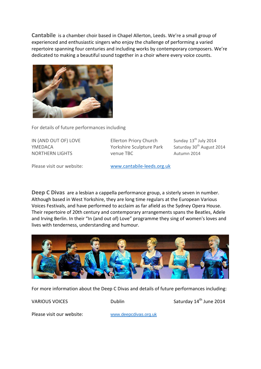**Cantabile** is a chamber choir based in Chapel Allerton, Leeds. We're a small group of experienced and enthusiastic singers who enjoy the challenge of performing a varied repertoire spanning four centuries and including works by contemporary composers. We're dedicated to making a beautiful sound together in a choir where every voice counts.



For details of future performances including

IN (AND OUT OF) LOVE Ellerton Priory Church Sunday 13<sup>th</sup> July 2014 YMEDACA The Sculpture Park Saturday 30<sup>th</sup> August 2014 NORTHERN LIGHTS venue TBC Autumn 2014

Please visit our website: www.cantabile-leeds.org.uk

**Deep C Divas** are a lesbian a cappella performance group, a sisterly seven in number. Although based in West Yorkshire, they are long time regulars at the European Various Voices Festivals, and have performed to acclaim as far afield as the Sydney Opera House. Their repertoire of 20th century and contemporary arrangements spans the Beatles, Adele and Irving Berlin. In their "In (and out of) Love" programme they sing of women's loves and lives with tenderness, understanding and humour.



For more information about the Deep C Divas and details of future performances including:

VARIOUS VOICES Dublin Dublin Saturday 14<sup>th</sup> June 2014

Please visit our website: www.deepcdivas.org.uk